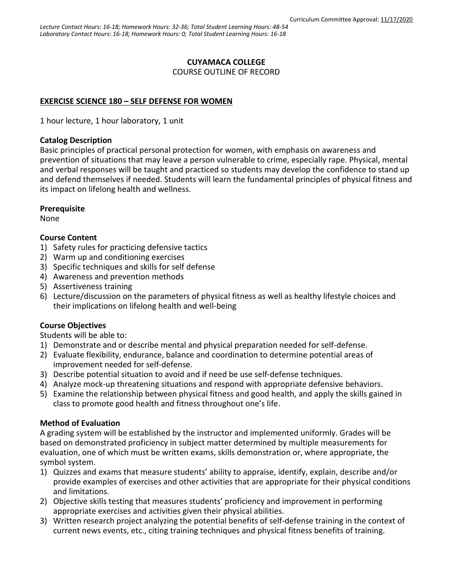## **CUYAMACA COLLEGE**

COURSE OUTLINE OF RECORD

# **EXERCISE SCIENCE 180 – SELF DEFENSE FOR WOMEN**

1 hour lecture, 1 hour laboratory, 1 unit

### **Catalog Description**

Basic principles of practical personal protection for women, with emphasis on awareness and prevention of situations that may leave a person vulnerable to crime, especially rape. Physical, mental and verbal responses will be taught and practiced so students may develop the confidence to stand up and defend themselves if needed. Students will learn the fundamental principles of physical fitness and its impact on lifelong health and wellness.

## **Prerequisite**

None

## **Course Content**

- 1) Safety rules for practicing defensive tactics
- 2) Warm up and conditioning exercises
- 3) Specific techniques and skills for self defense
- 4) Awareness and prevention methods
- 5) Assertiveness training
- 6) Lecture/discussion on the parameters of physical fitness as well as healthy lifestyle choices and their implications on lifelong health and well-being

## **Course Objectives**

Students will be able to:

- 1) Demonstrate and or describe mental and physical preparation needed for self-defense.
- 2) Evaluate flexibility, endurance, balance and coordination to determine potential areas of improvement needed for self-defense.
- 3) Describe potential situation to avoid and if need be use self-defense techniques.
- 4) Analyze mock-up threatening situations and respond with appropriate defensive behaviors.
- 5) Examine the relationship between physical fitness and good health, and apply the skills gained in class to promote good health and fitness throughout one's life.

## **Method of Evaluation**

A grading system will be established by the instructor and implemented uniformly. Grades will be based on demonstrated proficiency in subject matter determined by multiple measurements for evaluation, one of which must be written exams, skills demonstration or, where appropriate, the symbol system.

- 1) Quizzes and exams that measure students' ability to appraise, identify, explain, describe and/or provide examples of exercises and other activities that are appropriate for their physical conditions and limitations.
- 2) Objective skills testing that measures students' proficiency and improvement in performing appropriate exercises and activities given their physical abilities.
- 3) Written research project analyzing the potential benefits of self-defense training in the context of current news events, etc., citing training techniques and physical fitness benefits of training.